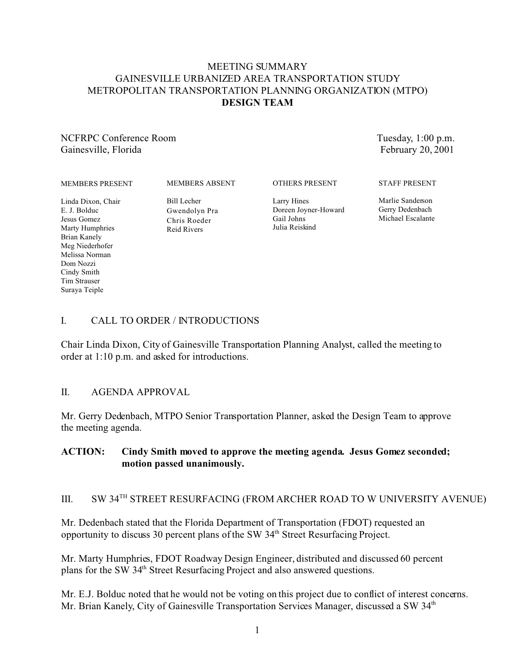# MEETING SUMMARY GAINESVILLE URBANIZED AREA TRANSPORTATION STUDY METROPOLITAN TRANSPORTATION PLANNING ORGANIZATION (MTPO) **DESIGN TEAM**

NCFRPC Conference Room Gainesville, Florida

Tuesday, 1:00 p.m. February 20, 2001

MEMBERS PRESENT

MEMBERS ABSENT

Linda Dixon, Chair E. J. Bolduc Jesus Gomez Marty Humphries Brian Kanely Meg Niederhofer Melissa Norman Dom Nozzi Cindy Smith Tim Strauser Suraya Teiple

Bill Lecher Gwendolyn Pra Chris Roeder Reid Rivers

OTHERS PRESENT

Larry Hines Doreen Joyner-Howard Gail Johns Julia Reiskind

STAFF PRESENT

Marlie Sanderson Gerry Dedenbach Michael Escalante

# I. CALL TO ORDER / INTRODUCTIONS

Chair Linda Dixon, City of Gainesville Transportation Planning Analyst, called the meeting to order at 1:10 p.m. and asked for introductions.

#### II. AGENDA APPROVAL

Mr. Gerry Dedenbach, MTPO Senior Transportation Planner, asked the Design Team to approve the meeting agenda.

## **ACTION: Cindy Smith moved to approve the meeting agenda. Jesus Gomez seconded; motion passed unanimously.**

#### III. SW 34TH STREET RESURFACING (FROM ARCHER ROAD TO W UNIVERSITY AVENUE)

Mr. Dedenbach stated that the Florida Department of Transportation (FDOT) requested an opportunity to discuss 30 percent plans of the SW  $34<sup>th</sup>$  Street Resurfacing Project.

Mr. Marty Humphries, FDOT Roadway Design Engineer, distributed and discussed 60 percent plans for the SW 34<sup>th</sup> Street Resurfacing Project and also answered questions.

Mr. E.J. Bolduc noted that he would not be voting on this project due to conflict of interest concerns. Mr. Brian Kanely, City of Gainesville Transportation Services Manager, discussed a SW 34<sup>th</sup>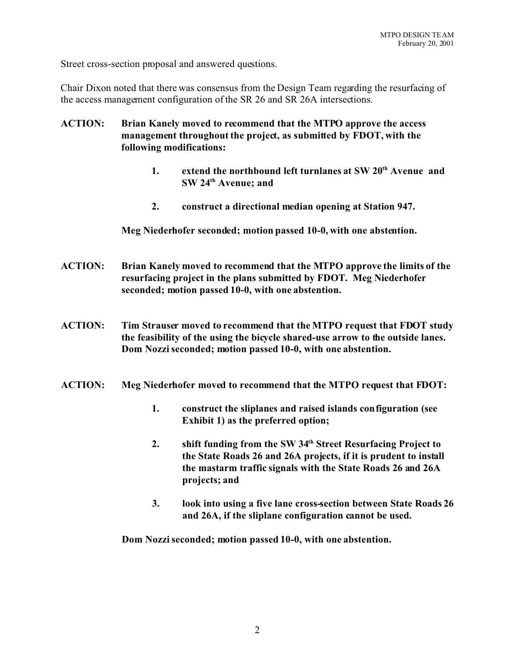Street cross-section proposal and answered questions.

Chair Dixon noted that there was consensus from the Design Team regarding the resurfacing of the access management configuration of the SR 26 and SR 26A intersections.

- **ACTION: Brian Kanely moved to recommend that the MTPO approve the access management throughout the project, as submitted by FDOT, with the following modifications:**
	- **1. extend the northbound left turnlanes at SW 20th Avenue and SW 24th Avenue; and**
	- **2. construct a directional median opening at Station 947.**

**Meg Niederhofer seconded; motion passed 10-0, with one abstention.**

- **ACTION: Brian Kanely moved to recommend that the MTPO approve the limits of the resurfacing project in the plans submitted by FDOT. Meg Niederhofer seconded; motion passed 10-0, with one abstention.**
- **ACTION: Tim Strauser moved to recommend that the MTPO request that FDOT study the feasibility of the using the bicycle shared-use arrow to the outside lanes. Dom Nozzi seconded; motion passed 10-0, with one abstention.**
- **ACTION: Meg Niederhofer moved to recommend that the MTPO request that FDOT:**
	- **1. construct the sliplanes and raised islands configuration (see Exhibit 1) as the preferred option;**
	- **2. shift funding from the SW 34th Street Resurfacing Project to the State Roads 26 and 26A projects, if it is prudent to install the mastarm traffic signals with the State Roads 26 and 26A projects; and**
	- **3. look into using a five lane cross-section between State Roads 26 and 26A, if the sliplane configuration cannot be used.**

**Dom Nozzi seconded; motion passed 10-0, with one abstention.**